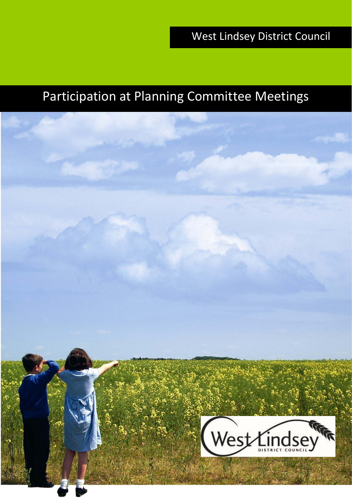# Participation at Planning Committee Meetings

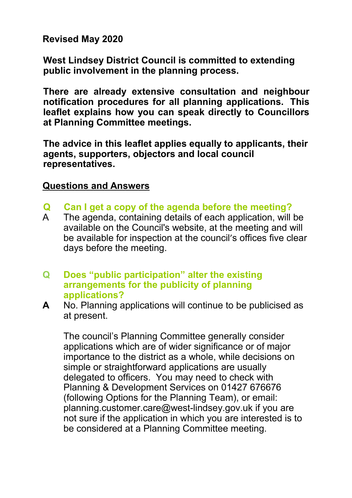**Revised May 2020**

**West Lindsey District Council is committed to extending public involvement in the planning process.**

**Publication procedures for all planning applications. This and procedures for all planning applications. This There are already extensive consultation and neighbour leaflet explains how you can speak directly to Councillors at Planning Committee meetings.**

**The advice in this leaflet applies equally to applicants, their agents, supporters, objectors and local council representatives.**

#### **Questions and Answers**

- **Q Can I get a copy of the agenda before the meeting?**
- The agenda, containing details of each application, will be available on the Council's website, at the meeting and will be available for inspection at the council's offices five clear days before the meeting.
- **Q Does "public participation" alter the existing arrangements for the publicity of planning applications?**
- **A** No. Planning applications will continue to be publicised as at present.

The council's Planning Committee generally consider applications which are of wider significance or of major importance to the district as a whole, while decisions on simple or straightforward applications are usually delegated to officers. You may need to check with Planning & Development Services on 01427 676676 (following Options for the Planning Team), or email[:](mailto:planning.customer.care@west-lindsey.gov.uk)  [planning.customer.care@west-lindsey.gov.uk](mailto:planning.customer.care@west-lindsey.gov.uk) if you are not sure if the application in which you are interested is to be considered at a Planning Committee meeting.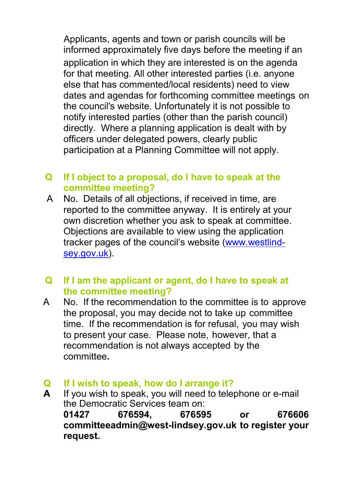Applicants, agents and town or parish councils will be informed approximately five days before the meeting if an application in which they are interested is on the agenda for that meeting. All other interested parties (i.e. anyone else that has commented/local residents) need to view dates and agendas for forthcoming committee meetings on the council's website. Unfortunately it is not possible to notify interested parties (other than the parish council) directly. Where a planning application is dealt with by officers under delegated powers, clearly public participation at a Planning Committee will not apply.

- **Q If I object to a proposal, do I have to speak at the committee meeting?**
- A No. Details of all objections, if received in time, are reported to the committee anyway. It is entirely at your own discretion whether you ask to speak at committee. Objections are available to view using the application tracker pages of the council's website [\(www.westlind](http://www.west-lindsey.gov.uk/)[sey.gov.uk\).](http://www.west-lindsey.gov.uk/)
- **Q If I am the applicant or agent, do I have to speak at the committee meeting?**
- A No. If the recommendation to the committee is to approve the proposal, you may decide not to take up committee time. If the recommendation is for refusal, you may wish to present your case. Please note, however, that a recommendation is not always accepted by the committee**.**
- **Q If I wish to speak, how do I arrange it?**
- **A** If you wish to speak, you will need to telephone or e-mail the Democratic Services team on: **01427 676594, 676595 or 676606 [committeeadmin@west-lindsey.gov.uk](mailto:committeeadmin@west-lindsey.gov.uk) to register your request.**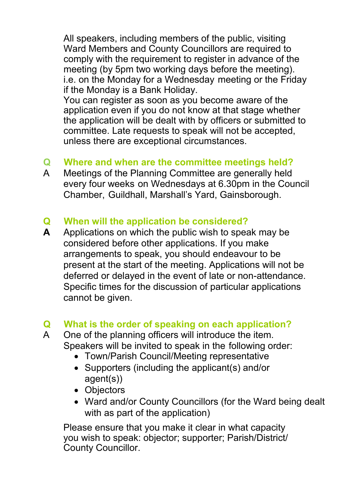All speakers, including members of the public, visiting Ward Members and County Councillors are required to comply with the requirement to register in advance of the meeting (by 5pm two working days before the meeting). i.e. on the Monday for a Wednesday meeting or the Friday if the Monday is a Bank Holiday.

You can register as soon as you become aware of the application even if you do not know at that stage whether the application will be dealt with by officers or submitted to committee. Late requests to speak will not be accepted, unless there are exceptional circumstances.

### **Q Where and when are the committee meetings held?**

A Meetings of the Planning Committee are generally held every four weeks on Wednesdays at 6.30pm in the Council Chamber, Guildhall, Marshall's Yard, Gainsborough.

### **Q When will the application be considered?**

**A** Applications on which the public wish to speak may be considered before other applications. If you make arrangements to speak, you should endeavour to be present at the start of the meeting. Applications will not be deferred or delayed in the event of late or non-attendance. Specific times for the discussion of particular applications cannot be given.

### **Q What is the order of speaking on each application?**

- A One of the planning officers will introduce the item. Speakers will be invited to speak in the following order:
	- Town/Parish Council/Meeting representative
	- Supporters (including the applicant(s) and/or agent(s))
	- Objectors
	- Ward and/or County Councillors (for the Ward being dealt with as part of the application)

Please ensure that you make it clear in what capacity you wish to speak: objector; supporter; Parish/District/ County Councillor.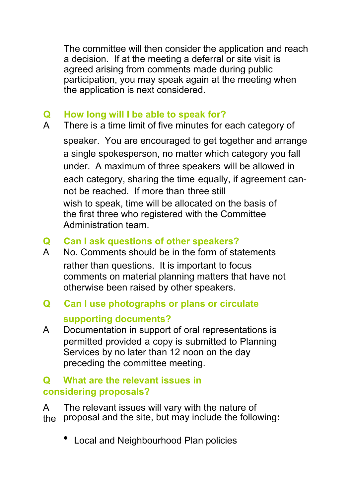The committee will then consider the application and reach a decision. If at the meeting a deferral or site visit is agreed arising from comments made during public participation, you may speak again at the meeting when the application is next considered.

### **Q How long will I be able to speak for?**

A There is a time limit of five minutes for each category of speaker. You are encouraged to get together and arrange a single spokesperson, no matter which category you fall under. A maximum of three speakers will be allowed in each category, sharing the time equally, if agreement cannot be reached. If more than three still wish to speak, time will be allocated on the basis of the first three who registered with the Committee Administration team.

### **Q Can I ask questions of other speakers?**

A No. Comments should be in the form of statements rather than questions. It is important to focus comments on material planning matters that have not otherwise been raised by other speakers.

## **Q Can I use photographs or plans or circulate supporting documents?**

A Documentation in support of oral representations is permitted provided a copy is submitted to Planning Services by no later than 12 noon on the day preceding the committee meeting.

### **Q What are the relevant issues in considering proposals?**

A The relevant issues will vary with the nature of the proposal and the site, but may include the following**:**

• Local and Neighbourhood Plan policies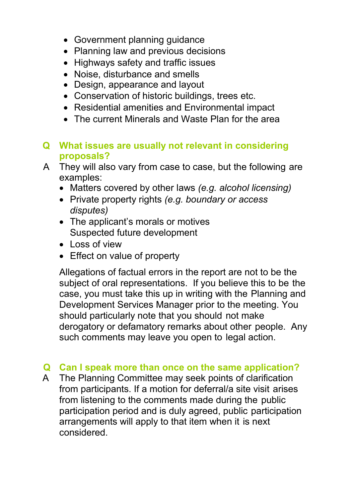- Government planning guidance
- Planning law and previous decisions
- Highways safety and traffic issues
- Noise, disturbance and smells
- Design, appearance and layout
- Conservation of historic buildings, trees etc.
- Residential amenities and Environmental impact
- The current Minerals and Waste Plan for the area

#### **Q What issues are usually not relevant in considering proposals?**

- A They will also vary from case to case, but the following are examples:
	- Matters covered by other laws *(e.g. alcohol licensing)*
	- Private property rights *(e.g. boundary or access disputes)*
	- The applicant's morals or motives Suspected future development
	- Loss of view
	- Effect on value of property

Allegations of factual errors in the report are not to be the subject of oral representations. If you believe this to be the case, you must take this up in writing with the Planning and Development Services Manager prior to the meeting. You should particularly note that you should not make derogatory or defamatory remarks about other people. Any such comments may leave you open to legal action.

### **Q Can I speak more than once on the same application?**

A The Planning Committee may seek points of clarification from participants. If a motion for deferral/a site visit arises from listening to the comments made during the public participation period and is duly agreed, public participation arrangements will apply to that item when it is next considered.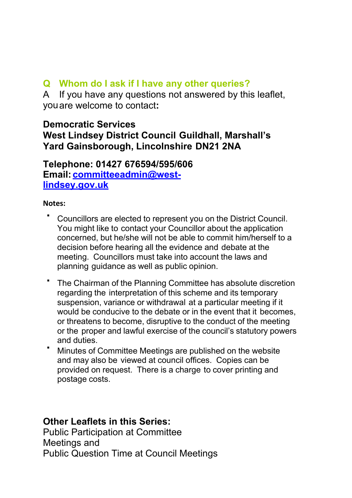#### **Q Whom do I ask if I have any other queries?**

A If you have any questions not answered by this leaflet, you are welcome to contact**:**

#### **Democratic Services West [Lindsey District Council Guildhall, Marsh](mailto:committeeadmin@west-lindsey.gov.uk)all's Yard Gainsborough, Lincolnshire DN21 2NA**

**Telephone: 01427 676594/595/606 Email: committeeadmin@westlindsey.gov.uk**

#### **Notes:**

- Councillors are elected to represent you on the District Council. You might like to contact your Councillor about the application concerned, but he/she will not be able to commit him/herself to a decision before hearing all the evidence and debate at the meeting. Councillors must take into account the laws and planning guidance as well as public opinion.
- The Chairman of the Planning Committee has absolute discretion regarding the interpretation of this scheme and its temporary suspension, variance or withdrawal at a particular meeting if it would be conducive to the debate or in the event that it becomes, or threatens to become, disruptive to the conduct of the meeting or the proper and lawful exercise of the council's statutory powers and duties.
- Minutes of Committee Meetings are published on the website and may also be viewed at council offices. Copies can be provided on request. There is a charge to cover printing and postage costs.

#### **Other Leaflets in this Series:**

Public Participation at Committee Meetings and Public Question Time at Council Meetings